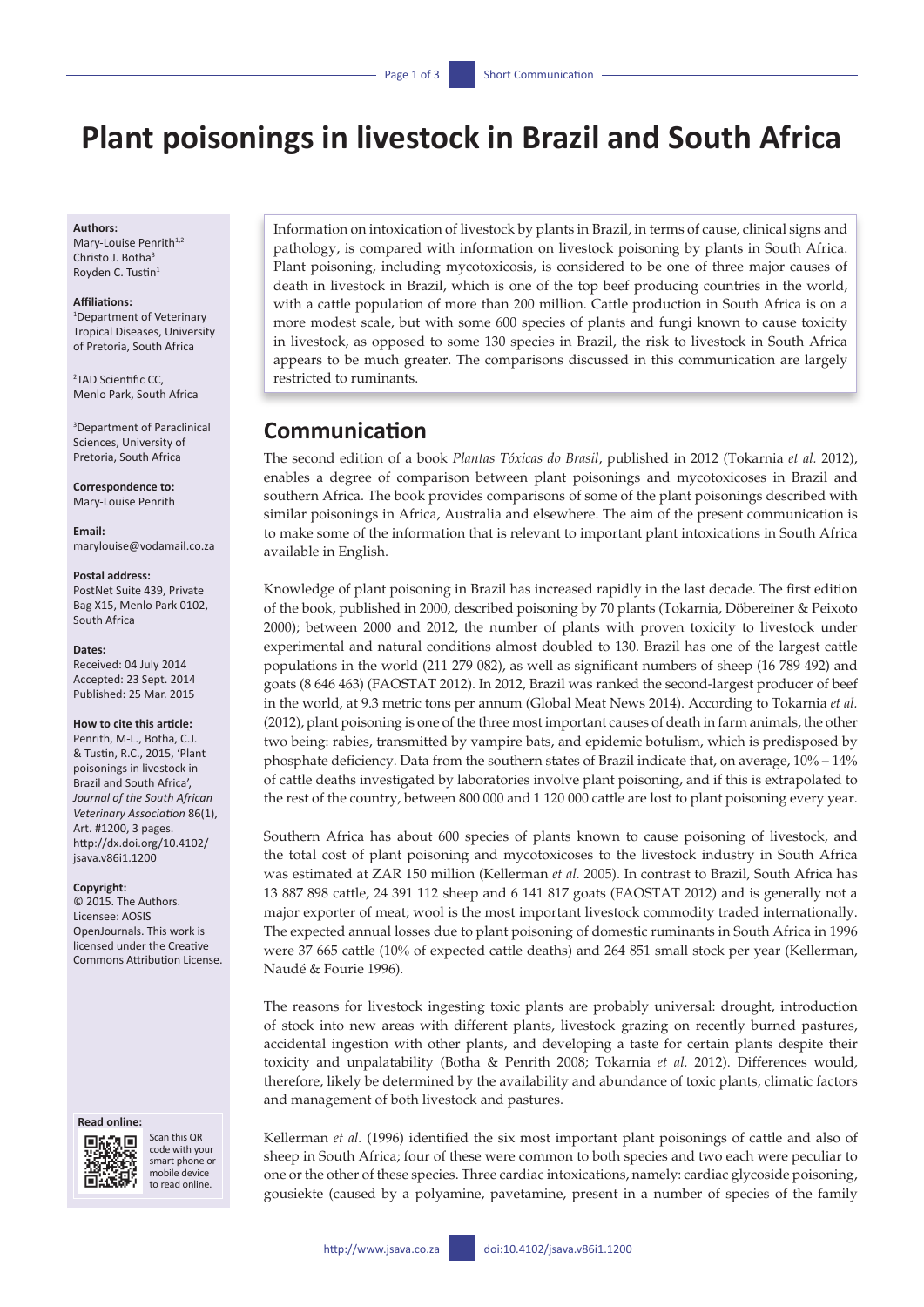# **Plant poisonings in livestock in Brazil and South Africa**

#### **Authors:**

Mary-Louise Penrith<sup>1,2</sup> Christo J. Botha<sup>3</sup> Royden C. Tustin<sup>1</sup>

#### **Affiliations:**

1 Department of Veterinary Tropical Diseases, University of Pretoria, South Africa

2 TAD Scientific CC, Menlo Park, South Africa

3 Department of Paraclinical Sciences, University of Pretoria, South Africa

**Correspondence to:** Mary-Louise Penrith

**Email:** [marylouise@vodamail.co.za](mailto:marylouise@vodamail.co.za)

#### **Postal address:**

PostNet Suite 439, Private Bag X15, Menlo Park 0102, South Africa

#### **Dates:**

Received: 04 July 2014 Accepted: 23 Sept. 2014 Published: 25 Mar. 2015

#### **How to cite this article:**

Penrith, M-L., Botha, C.J. & Tustin, R.C., 2015, 'Plant poisonings in livestock in Brazil and South Africa', *Journal of the South African Veterinary Association* 86(1), Art. #1200, 3 pages. [http://dx.doi.org/10.4102/](http://dx.doi.org/10.4102/jsava.v86i1.1200) [jsava.v86i1.1200](http://dx.doi.org/10.4102/jsava.v86i1.1200)

#### **Copyright:**

© 2015. The Authors. Licensee: AOSIS OpenJournals. This work is licensed under the Creative Commons Attribution License.

#### **Read online:**



Scan this QR code with your smart phone or mobile device to read online.

Information on intoxication of livestock by plants in Brazil, in terms of cause, clinical signs and pathology, is compared with information on livestock poisoning by plants in South Africa. Plant poisoning, including mycotoxicosis, is considered to be one of three major causes of death in livestock in Brazil, which is one of the top beef producing countries in the world, with a cattle population of more than 200 million. Cattle production in South Africa is on a more modest scale, but with some 600 species of plants and fungi known to cause toxicity in livestock, as opposed to some 130 species in Brazil, the risk to livestock in South Africa appears to be much greater. The comparisons discussed in this communication are largely restricted to ruminants.

# **Communication**

The second edition of a book *Plantas Tóxicas do Brasil*, published in 2012 (Tokarnia *et al.* 2012), enables a degree of comparison between plant poisonings and mycotoxicoses in Brazil and southern Africa. The book provides comparisons of some of the plant poisonings described with similar poisonings in Africa, Australia and elsewhere. The aim of the present communication is to make some of the information that is relevant to important plant intoxications in South Africa available in English.

Knowledge of plant poisoning in Brazil has increased rapidly in the last decade. The first edition of the book, published in 2000, described poisoning by 70 plants (Tokarnia, Döbereiner & Peixoto 2000); between 2000 and 2012, the number of plants with proven toxicity to livestock under experimental and natural conditions almost doubled to 130. Brazil has one of the largest cattle populations in the world (211 279 082), as well as significant numbers of sheep (16 789 492) and goats (8 646 463) (FAOSTAT 2012). In 2012, Brazil was ranked the second-largest producer of beef in the world, at 9.3 metric tons per annum (Global Meat News 2014). According to Tokarnia *et al.* (2012), plant poisoning is one of the three most important causes of death in farm animals, the other two being: rabies, transmitted by vampire bats, and epidemic botulism, which is predisposed by phosphate deficiency. Data from the southern states of Brazil indicate that, on average, 10% – 14% of cattle deaths investigated by laboratories involve plant poisoning, and if this is extrapolated to the rest of the country, between 800 000 and 1 120 000 cattle are lost to plant poisoning every year.

Southern Africa has about 600 species of plants known to cause poisoning of livestock, and the total cost of plant poisoning and mycotoxicoses to the livestock industry in South Africa was estimated at ZAR 150 million (Kellerman *et al.* 2005). In contrast to Brazil, South Africa has 13 887 898 cattle, 24 391 112 sheep and 6 141 817 goats (FAOSTAT 2012) and is generally not a major exporter of meat; wool is the most important livestock commodity traded internationally. The expected annual losses due to plant poisoning of domestic ruminants in South Africa in 1996 were 37 665 cattle (10% of expected cattle deaths) and 264 851 small stock per year (Kellerman, Naudé & Fourie 1996).

The reasons for livestock ingesting toxic plants are probably universal: drought, introduction of stock into new areas with different plants, livestock grazing on recently burned pastures, accidental ingestion with other plants, and developing a taste for certain plants despite their toxicity and unpalatability (Botha & Penrith 2008; Tokarnia *et al.* 2012). Differences would, therefore, likely be determined by the availability and abundance of toxic plants, climatic factors and management of both livestock and pastures.

Kellerman *et al.* (1996) identified the six most important plant poisonings of cattle and also of sheep in South Africa; four of these were common to both species and two each were peculiar to one or the other of these species. Three cardiac intoxications, namely: cardiac glycoside poisoning, gousiekte (caused by a polyamine, pavetamine, present in a number of species of the family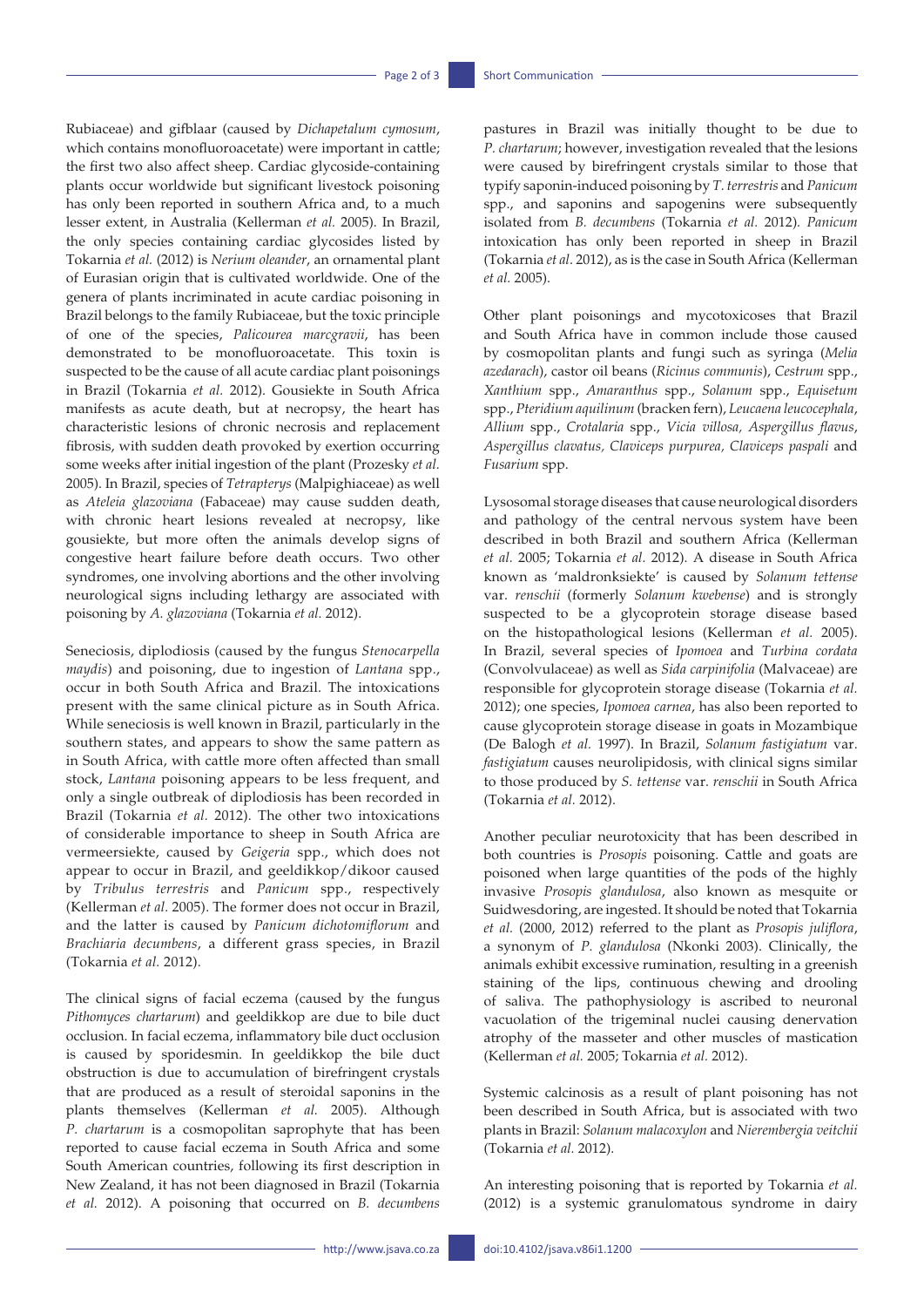Rubiaceae) and gifblaar (caused by *Dichapetalum cymosum*, which contains monofluoroacetate) were important in cattle; the first two also affect sheep. Cardiac glycoside-containing plants occur worldwide but significant livestock poisoning has only been reported in southern Africa and, to a much lesser extent, in Australia (Kellerman *et al.* 2005). In Brazil, the only species containing cardiac glycosides listed by Tokarnia *et al.* (2012) is *Nerium oleander*, an ornamental plant of Eurasian origin that is cultivated worldwide. One of the genera of plants incriminated in acute cardiac poisoning in Brazil belongs to the family Rubiaceae, but the toxic principle of one of the species, *Palicourea marcgravii*, has been demonstrated to be monofluoroacetate. This toxin is suspected to be the cause of all acute cardiac plant poisonings in Brazil (Tokarnia *et al.* 2012). Gousiekte in South Africa manifests as acute death, but at necropsy, the heart has characteristic lesions of chronic necrosis and replacement fibrosis, with sudden death provoked by exertion occurring some weeks after initial ingestion of the plant (Prozesky *et al.* 2005). In Brazil, species of *Tetrapterys* (Malpighiaceae) as well as *Ateleia glazoviana* (Fabaceae) may cause sudden death, with chronic heart lesions revealed at necropsy, like gousiekte, but more often the animals develop signs of congestive heart failure before death occurs. Two other syndromes, one involving abortions and the other involving neurological signs including lethargy are associated with poisoning by *A. glazoviana* (Tokarnia *et al.* 2012).

Seneciosis, diplodiosis (caused by the fungus *Stenocarpella maydis*) and poisoning, due to ingestion of *Lantana* spp., occur in both South Africa and Brazil. The intoxications present with the same clinical picture as in South Africa. While seneciosis is well known in Brazil, particularly in the southern states, and appears to show the same pattern as in South Africa, with cattle more often affected than small stock, *Lantana* poisoning appears to be less frequent, and only a single outbreak of diplodiosis has been recorded in Brazil (Tokarnia *et al.* 2012). The other two intoxications of considerable importance to sheep in South Africa are vermeersiekte, caused by *Geigeria* spp., which does not appear to occur in Brazil, and geeldikkop/dikoor caused by *Tribulus terrestris* and *Panicum* spp., respectively (Kellerman *et al.* 2005). The former does not occur in Brazil, and the latter is caused by *Panicum dichotomiflorum* and *Brachiaria decumbens*, a different grass species, in Brazil (Tokarnia *et al.* 2012).

The clinical signs of facial eczema (caused by the fungus *Pithomyces chartarum*) and geeldikkop are due to bile duct occlusion. In facial eczema, inflammatory bile duct occlusion is caused by sporidesmin. In geeldikkop the bile duct obstruction is due to accumulation of birefringent crystals that are produced as a result of steroidal saponins in the plants themselves (Kellerman *et al.* 2005). Although *P. chartarum* is a cosmopolitan saprophyte that has been reported to cause facial eczema in South Africa and some South American countries, following its first description in New Zealand, it has not been diagnosed in Brazil (Tokarnia *et al.* 2012). A poisoning that occurred on *B. decumbens*  pastures in Brazil was initially thought to be due to *P. chartarum*; however, investigation revealed that the lesions were caused by birefringent crystals similar to those that typify saponin-induced poisoning by *T. terrestris* and *Panicum* spp., and saponins and sapogenins were subsequently isolated from *B. decumbens* (Tokarnia *et al.* 2012)*. Panicum* intoxication has only been reported in sheep in Brazil (Tokarnia *et al*. 2012), as is the case in South Africa (Kellerman *et al.* 2005).

Other plant poisonings and mycotoxicoses that Brazil and South Africa have in common include those caused by cosmopolitan plants and fungi such as syringa (*Melia azedarach*), castor oil beans (*Ricinus communis*), *Cestrum* spp., *Xanthium* spp., *Amaranthus* spp., *Solanum* spp., *Equisetum* spp., *Pteridium aquilinum* (bracken fern), *Leucaena leucocephala*, *Allium* spp., *Crotalaria* spp., *Vicia villosa, Aspergillus flavus*, *Aspergillus clavatus, Claviceps purpurea, Claviceps paspali* and *Fusarium* spp.

Lysosomal storage diseases that cause neurological disorders and pathology of the central nervous system have been described in both Brazil and southern Africa (Kellerman *et al.* 2005; Tokarnia *et al.* 2012). A disease in South Africa known as 'maldronksiekte' is caused by *Solanum tettense* var. *renschii* (formerly *Solanum kwebense*) and is strongly suspected to be a glycoprotein storage disease based on the histopathological lesions (Kellerman *et al.* 2005). In Brazil, several species of *Ipomoea* and *Turbina cordata* (Convolvulaceae) as well as *Sida carpinifolia* (Malvaceae) are responsible for glycoprotein storage disease (Tokarnia *et al.* 2012); one species, *Ipomoea carnea*, has also been reported to cause glycoprotein storage disease in goats in Mozambique (De Balogh *et al.* 1997). In Brazil, *Solanum fastigiatum* var. *fastigiatum* causes neurolipidosis, with clinical signs similar to those produced by *S. tettense* var. *renschii* in South Africa (Tokarnia *et al.* 2012).

Another peculiar neurotoxicity that has been described in both countries is *Prosopis* poisoning. Cattle and goats are poisoned when large quantities of the pods of the highly invasive *Prosopis glandulosa*, also known as mesquite or Suidwesdoring, are ingested. It should be noted that Tokarnia *et al.* (2000, 2012) referred to the plant as *Prosopis juliflora*, a synonym of *P. glandulosa* (Nkonki 2003). Clinically, the animals exhibit excessive rumination, resulting in a greenish staining of the lips, continuous chewing and drooling of saliva. The pathophysiology is ascribed to neuronal vacuolation of the trigeminal nuclei causing denervation atrophy of the masseter and other muscles of mastication (Kellerman *et al.* 2005; Tokarnia *et al.* 2012).

Systemic calcinosis as a result of plant poisoning has not been described in South Africa, but is associated with two plants in Brazil: *Solanum malacoxylon* and *Nierembergia veitchii* (Tokarnia *et al.* 2012).

An interesting poisoning that is reported by Tokarnia *et al.* (2012) is a systemic granulomatous syndrome in dairy